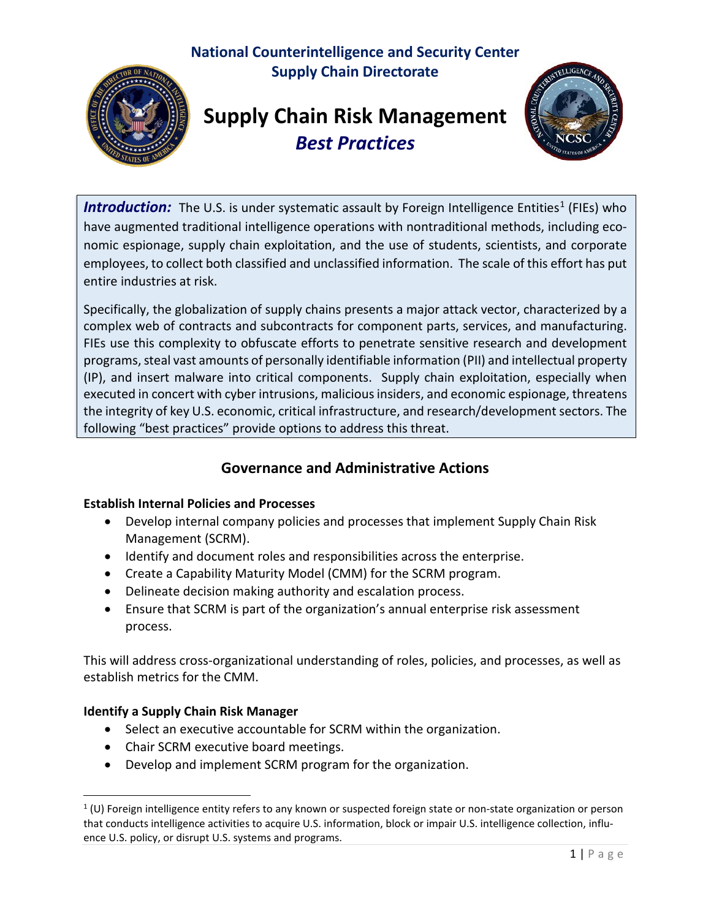# **National Counterintelligence and Security Center Supply Chain Directorate**



# **Supply Chain Risk Management** *Best Practices*



**Introduction:** The U.S. is under systematic assault by Foreign Intelligence Entities<sup>[1](#page-0-0)</sup> (FIEs) who have augmented traditional intelligence operations with nontraditional methods, including economic espionage, supply chain exploitation, and the use of students, scientists, and corporate employees, to collect both classified and unclassified information. The scale of this effort has put entire industries at risk.

Specifically, the globalization of supply chains presents a major attack vector, characterized by a complex web of contracts and subcontracts for component parts, services, and manufacturing. FIEs use this complexity to obfuscate efforts to penetrate sensitive research and development programs, steal vast amounts of personally identifiable information (PII) and intellectual property (IP), and insert malware into critical components. Supply chain exploitation, especially when executed in concert with cyber intrusions, malicious insiders, and economic espionage, threatens the integrity of key U.S. economic, critical infrastructure, and research/development sectors. The following "best practices" provide options to address this threat.

# **Governance and Administrative Actions**

# **Establish Internal Policies and Processes**

- Develop internal company policies and processes that implement Supply Chain Risk Management (SCRM).
- Identify and document roles and responsibilities across the enterprise.
- Create a Capability Maturity Model (CMM) for the SCRM program.
- Delineate decision making authority and escalation process.
- Ensure that SCRM is part of the organization's annual enterprise risk assessment process.

This will address cross-organizational understanding of roles, policies, and processes, as well as establish metrics for the CMM.

# **Identify a Supply Chain Risk Manager**

- Select an executive accountable for SCRM within the organization.
- Chair SCRM executive board meetings.
- Develop and implement SCRM program for the organization.

<span id="page-0-0"></span> $1$  (U) Foreign intelligence entity refers to any known or suspected foreign state or non-state organization or person that conducts intelligence activities to acquire U.S. information, block or impair U.S. intelligence collection, influence U.S. policy, or disrupt U.S. systems and programs.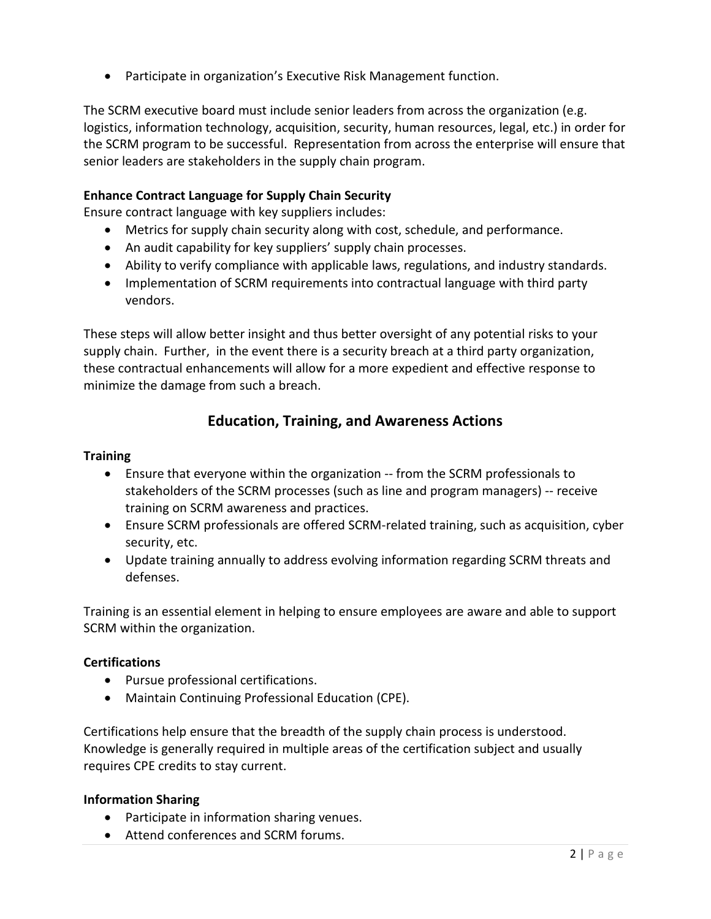• Participate in organization's Executive Risk Management function.

The SCRM executive board must include senior leaders from across the organization (e.g. logistics, information technology, acquisition, security, human resources, legal, etc.) in order for the SCRM program to be successful. Representation from across the enterprise will ensure that senior leaders are stakeholders in the supply chain program.

## **Enhance Contract Language for Supply Chain Security**

Ensure contract language with key suppliers includes:

- Metrics for supply chain security along with cost, schedule, and performance.
- An audit capability for key suppliers' supply chain processes.
- Ability to verify compliance with applicable laws, regulations, and industry standards.
- Implementation of SCRM requirements into contractual language with third party vendors.

These steps will allow better insight and thus better oversight of any potential risks to your supply chain. Further, in the event there is a security breach at a third party organization, these contractual enhancements will allow for a more expedient and effective response to minimize the damage from such a breach.

# **Education, Training, and Awareness Actions**

#### **Training**

- Ensure that everyone within the organization -- from the SCRM professionals to stakeholders of the SCRM processes (such as line and program managers) -- receive training on SCRM awareness and practices.
- Ensure SCRM professionals are offered SCRM-related training, such as acquisition, cyber security, etc.
- Update training annually to address evolving information regarding SCRM threats and defenses.

Training is an essential element in helping to ensure employees are aware and able to support SCRM within the organization.

#### **Certifications**

- Pursue professional certifications.
- Maintain Continuing Professional Education (CPE).

Certifications help ensure that the breadth of the supply chain process is understood. Knowledge is generally required in multiple areas of the certification subject and usually requires CPE credits to stay current.

#### **Information Sharing**

- Participate in information sharing venues.
- Attend conferences and SCRM forums.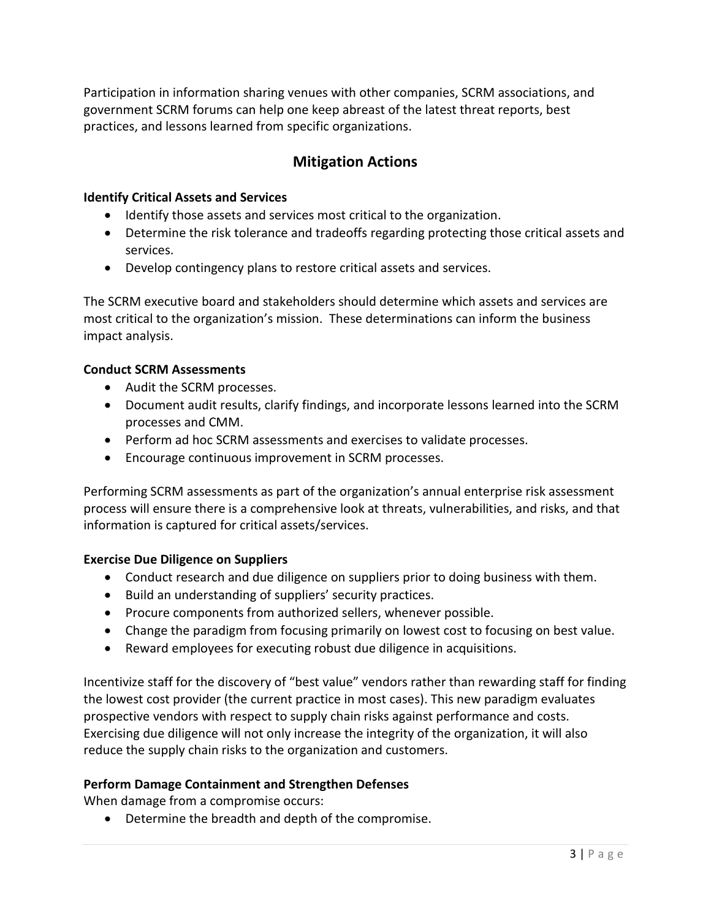Participation in information sharing venues with other companies, SCRM associations, and government SCRM forums can help one keep abreast of the latest threat reports, best practices, and lessons learned from specific organizations.

# **Mitigation Actions**

## **Identify Critical Assets and Services**

- Identify those assets and services most critical to the organization.
- Determine the risk tolerance and tradeoffs regarding protecting those critical assets and services.
- Develop contingency plans to restore critical assets and services.

The SCRM executive board and stakeholders should determine which assets and services are most critical to the organization's mission. These determinations can inform the business impact analysis.

# **Conduct SCRM Assessments**

- Audit the SCRM processes.
- Document audit results, clarify findings, and incorporate lessons learned into the SCRM processes and CMM.
- Perform ad hoc SCRM assessments and exercises to validate processes.
- Encourage continuous improvement in SCRM processes.

Performing SCRM assessments as part of the organization's annual enterprise risk assessment process will ensure there is a comprehensive look at threats, vulnerabilities, and risks, and that information is captured for critical assets/services.

# **Exercise Due Diligence on Suppliers**

- Conduct research and due diligence on suppliers prior to doing business with them.
- Build an understanding of suppliers' security practices.
- Procure components from authorized sellers, whenever possible.
- Change the paradigm from focusing primarily on lowest cost to focusing on best value.
- Reward employees for executing robust due diligence in acquisitions.

Incentivize staff for the discovery of "best value" vendors rather than rewarding staff for finding the lowest cost provider (the current practice in most cases). This new paradigm evaluates prospective vendors with respect to supply chain risks against performance and costs. Exercising due diligence will not only increase the integrity of the organization, it will also reduce the supply chain risks to the organization and customers.

# **Perform Damage Containment and Strengthen Defenses**

When damage from a compromise occurs:

• Determine the breadth and depth of the compromise.